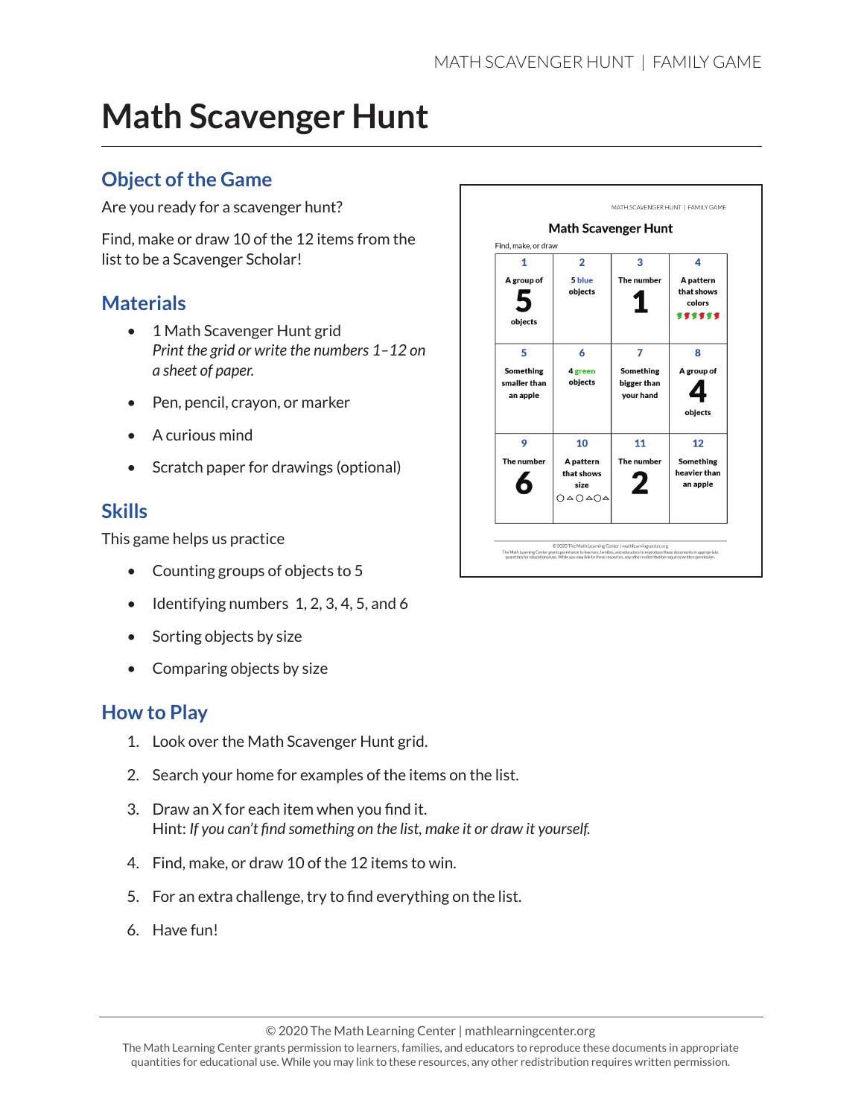## **Math Scavenger Hunt**

#### **Object of the Game**

Are you ready for a scavenger hunt?

Find, make or draw 10 of the 12 items from the list to be a Scavenger Scholar!

#### **Materials**

- 1 Math Scavenger Hunt grid *Print the grid or write the numbers 1–12 on a sheet of paper.*
- Pen, pencil, crayon, or marker
- A curious mind
- Scratch paper for drawings (optional)

#### **Skills**

This game helps us practice

- Counting groups of objects to 5
- $\bullet$  Identifying numbers 1, 2, 3, 4, 5, and 6
- Sorting objects by size
- Comparing objects by size

#### **How to Play**

- 1. Look over the Math Scavenger Hunt grid.
- 2. Search your home for examples of the items on the list.
- 3. Draw an X for each item when you find it. Hint: *If you can't find something on the list, make it or draw it yourself.*
- 4. Find, make, or draw 10 of the 12 items to win.
- 5. For an extra challenge, try to find everything on the list.
- 6. Have fun!



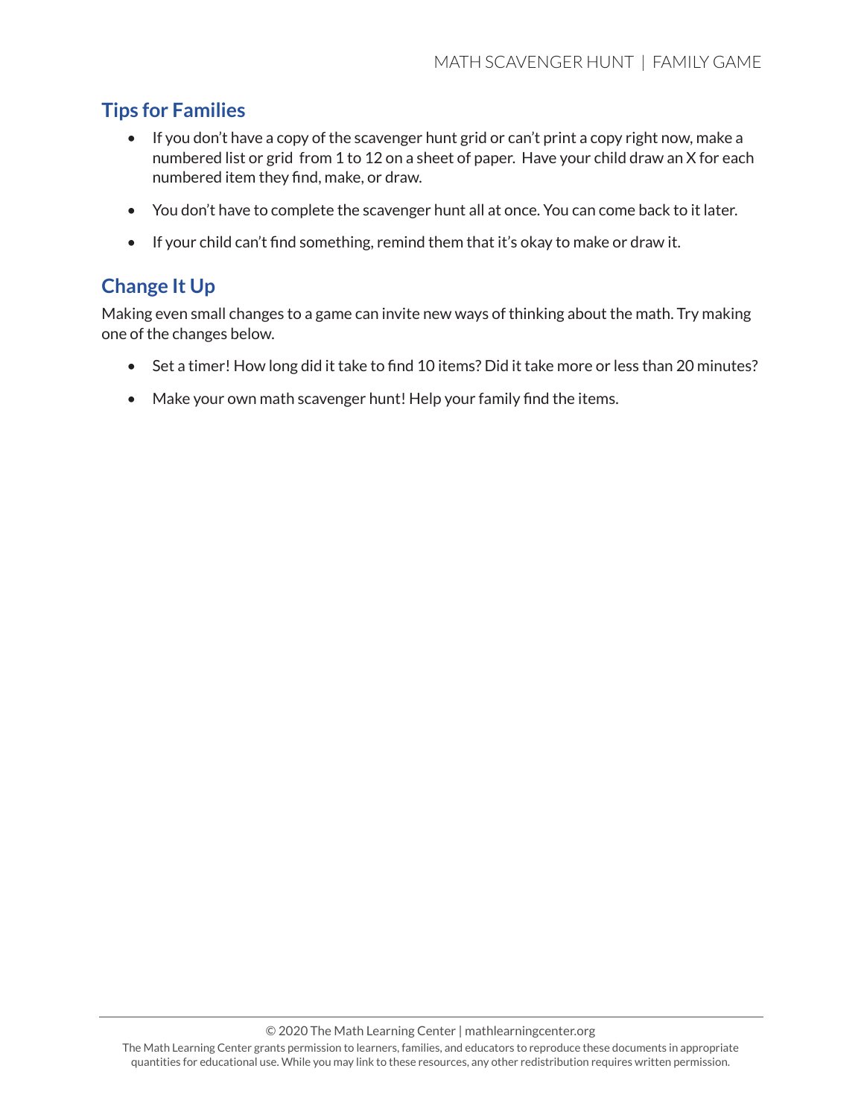### **Tips for Families**

- If you don't have a copy of the scavenger hunt grid or can't print a copy right now, make a numbered list or grid from 1 to 12 on a sheet of paper. Have your child draw an X for each numbered item they find, make, or draw.
- You don't have to complete the scavenger hunt all at once. You can come back to it later.
- If your child can't find something, remind them that it's okay to make or draw it.

### **Change It Up**

Making even small changes to a game can invite new ways of thinking about the math. Try making one of the changes below.

- Set a timer! How long did it take to find 10 items? Did it take more or less than 20 minutes?
- Make your own math scavenger hunt! Help your family find the items.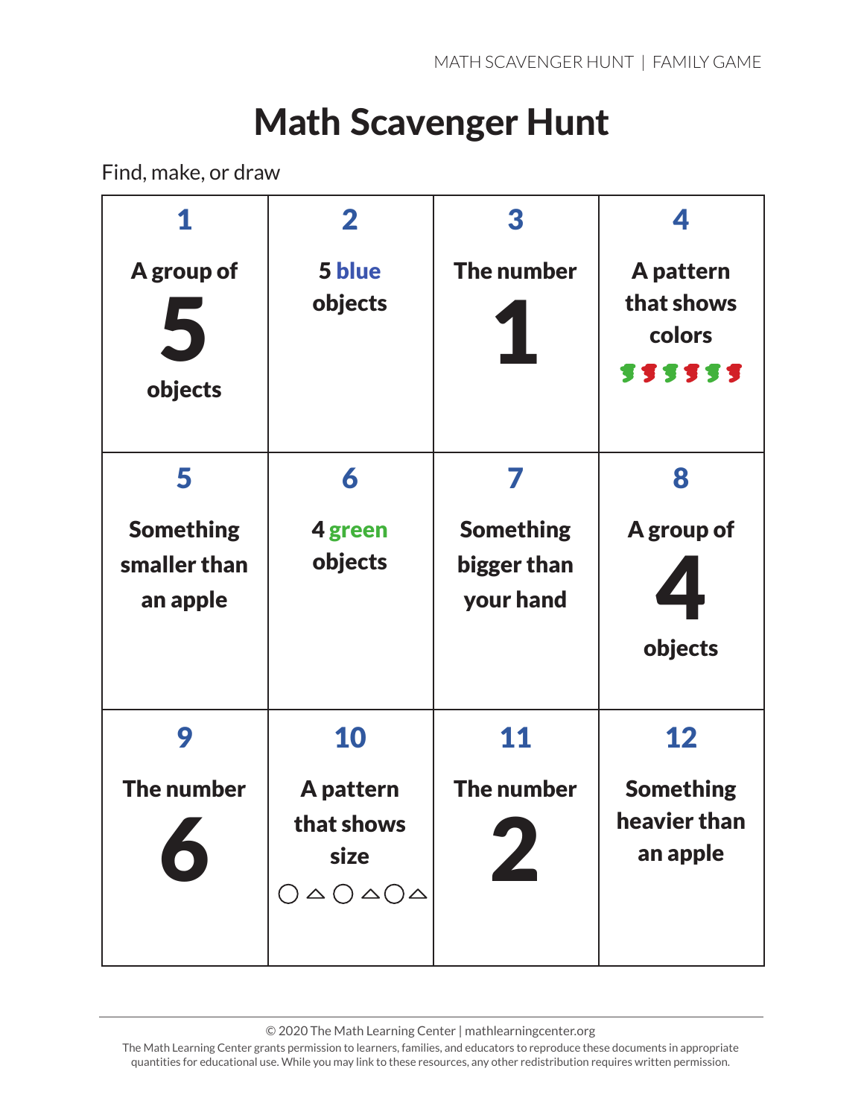# Math Scavenger Hunt

Find, make, or draw

|                                              | $\mathbf{2}$                                                                               | 3                                            | 4                                            |
|----------------------------------------------|--------------------------------------------------------------------------------------------|----------------------------------------------|----------------------------------------------|
| A group of<br>5<br>objects                   | 5 blue<br>objects                                                                          | The number                                   | A pattern<br>that shows<br>colors<br>555555  |
| 5                                            | 6                                                                                          |                                              | 8                                            |
| <b>Something</b><br>smaller than<br>an apple | 4 green<br>objects                                                                         | <b>Something</b><br>bigger than<br>your hand | A group of<br>objects                        |
| 9                                            | 10                                                                                         | 11                                           | 12                                           |
| The number                                   | A pattern<br>that shows<br>size<br>$\bigcap \triangle \bigcap \triangle \bigcap \triangle$ | The number                                   | <b>Something</b><br>heavier than<br>an apple |

© 2020 The Math Learning Center | mathlearningcenter.org

The Math Learning Center grants permission to learners, families, and educators to reproduce these documents in appropriate quantities for educational use. While you may link to these resources, any other redistribution requires written permission.